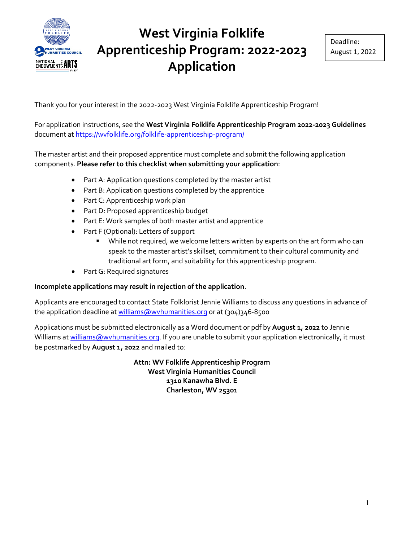

Thank you for your interest in the 2022-2023 West Virginia Folklife Apprenticeship Program!

For application instructions, see the **West Virginia Folklife Apprenticeship Program 2022-2023 Guidelines** document a[t https://wvfolklife.org/folklife-apprenticeship-program/](https://wvfolklife.org/folklife-apprenticeship-program/) 

The master artist and their proposed apprentice must complete and submit the following application components. **Please refer to this checklist when submitting your application**:

- Part A: Application questions completed by the master artist
- Part B: Application questions completed by the apprentice
- Part C: Apprenticeship work plan
- Part D: Proposed apprenticeship budget
- Part E: Work samples of both master artist and apprentice
- Part F (Optional): Letters of support
	- **•** While not required, we welcome letters written by experts on the art form who can speak to the master artist's skillset, commitment to their cultural community and traditional art form, and suitability for this apprenticeship program.
- Part G: Required signatures

#### **Incomplete applications may result in rejection of the application**.

Applicants are encouraged to contact State Folklorist Jennie Williams to discuss any questions in advance of the application deadline at [williams@wvhumanities.org](mailto:williams@wvhumanities.org) or at (304)346-8500

Applications must be submitted electronically as a Word document or pdf by **August 1, 2022** to Jennie Williams at [williams@wvhumanities.org.](mailto:williams@wvhumanities.org) If you are unable to submit your application electronically, it must be postmarked by **August 1, 2022** and mailed to:

> **Attn: WV Folklife Apprenticeship Program West Virginia Humanities Council 1310 Kanawha Blvd. E Charleston, WV 25301**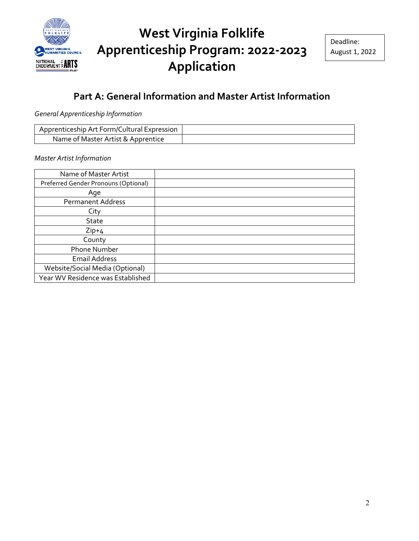

#### **Part A: General Information and Master Artist Information**

*General Apprenticeship Information*

| Apprenticeship Art Form/Cultural Expression |  |
|---------------------------------------------|--|
| Name of Master Artist & Apprentice          |  |

*Master Artist Information*

| Name of Master Artist                |  |
|--------------------------------------|--|
| Preferred Gender Pronouns (Optional) |  |
| Age                                  |  |
| <b>Permanent Address</b>             |  |
| City                                 |  |
| <b>State</b>                         |  |
| $Zip+4$                              |  |
| County                               |  |
| Phone Number                         |  |
| <b>Email Address</b>                 |  |
| Website/Social Media (Optional)      |  |
| Year WV Residence was Established    |  |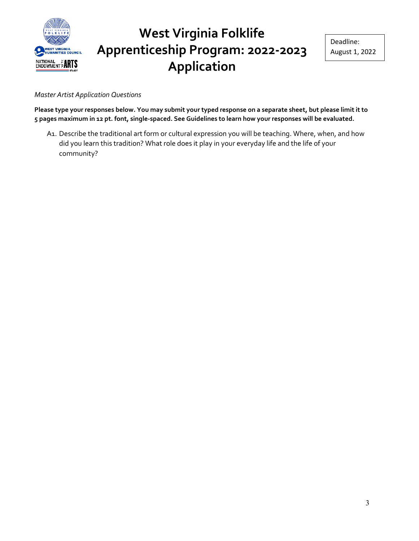

*Master Artist Application Questions* 

**Please type your responses below. You may submit your typed response on a separate sheet, but please limit it to 5 pages maximum in 12 pt. font, single-spaced. See Guidelines to learn how your responses will be evaluated.** 

A1. Describe the traditional art form or cultural expression you will be teaching. Where, when, and how did you learn this tradition? What role does it play in your everyday life and the life of your community?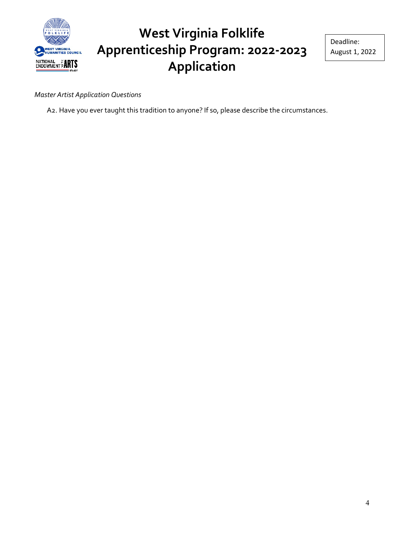

Deadline: August 1, 2022

*Master Artist Application Questions* 

A2. Have you ever taught this tradition to anyone? If so, please describe the circumstances.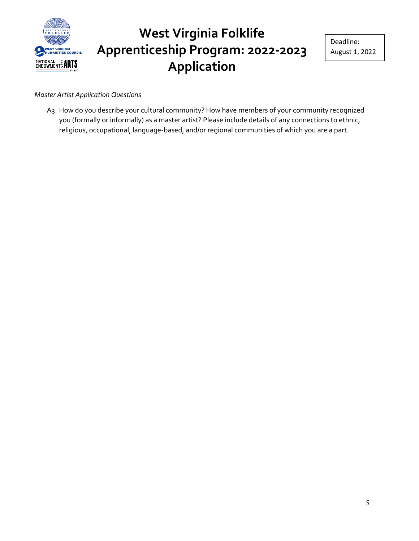

#### *Master Artist Application Questions*

A3. How do you describe your cultural community? How have members of your community recognized you (formally or informally) as a master artist? Please include details of any connections to ethnic, religious, occupational, language-based, and/or regional communities of which you are a part.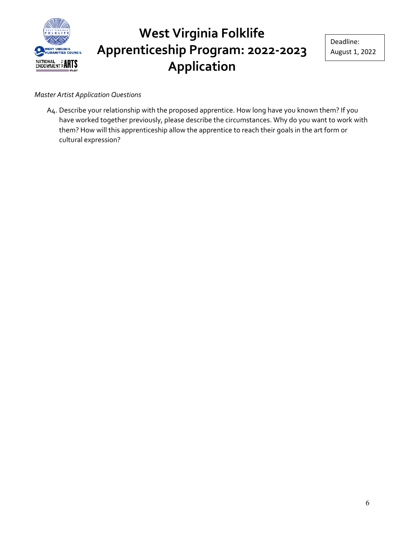

#### *Master Artist Application Questions*

A4. Describe your relationship with the proposed apprentice. How long have you known them? If you have worked together previously, please describe the circumstances. Why do you want to work with them? How will this apprenticeship allow the apprentice to reach their goals in the art form or cultural expression?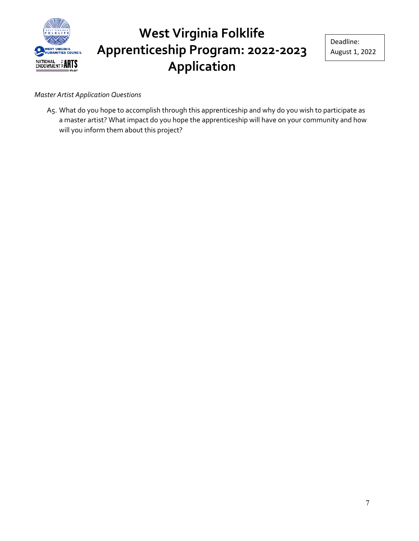

Deadline: August 1, 2022

#### *Master Artist Application Questions*

A5. What do you hope to accomplish through this apprenticeship and why do you wish to participate as a master artist? What impact do you hope the apprenticeship will have on your community and how will you inform them about this project?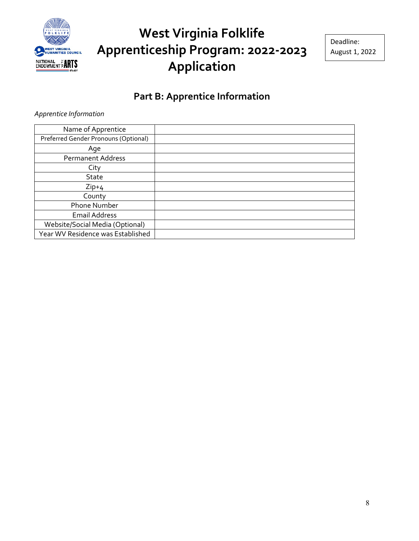

Deadline: August 1, 2022

#### **Part B: Apprentice Information**

*Apprentice Information*

| Name of Apprentice                   |  |
|--------------------------------------|--|
| Preferred Gender Pronouns (Optional) |  |
| Age                                  |  |
| <b>Permanent Address</b>             |  |
| City                                 |  |
| <b>State</b>                         |  |
| $Zip+4$                              |  |
| County                               |  |
| <b>Phone Number</b>                  |  |
| <b>Email Address</b>                 |  |
| Website/Social Media (Optional)      |  |
| Year WV Residence was Established    |  |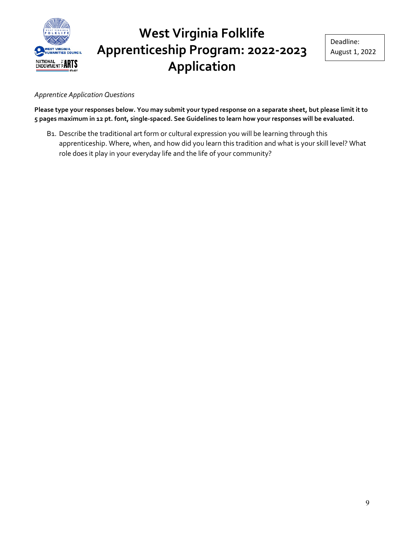

*Apprentice Application Questions*

**Please type your responses below. You may submit your typed response on a separate sheet, but please limit it to 5 pages maximum in 12 pt. font, single-spaced. See Guidelines to learn how your responses will be evaluated.**

B1. Describe the traditional art form or cultural expression you will be learning through this apprenticeship. Where, when, and how did you learn this tradition and what is your skill level? What role does it play in your everyday life and the life of your community?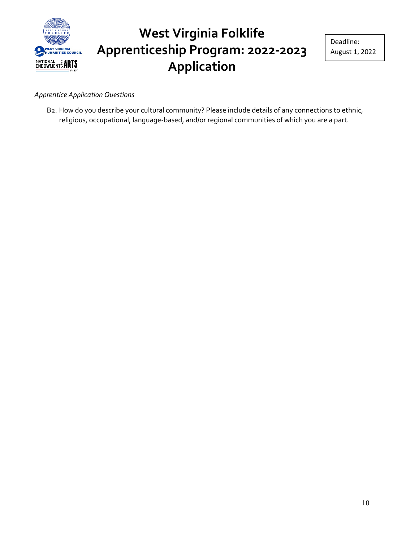

#### *Apprentice Application Questions*

B2. How do you describe your cultural community? Please include details of any connections to ethnic, religious, occupational, language-based, and/or regional communities of which you are a part.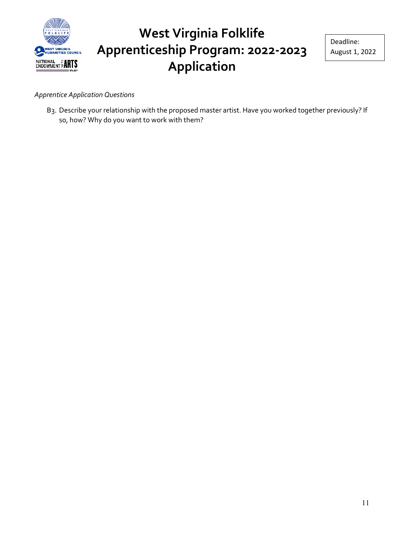

Deadline: August 1, 2022

*Apprentice Application Questions*

B3. Describe your relationship with the proposed master artist. Have you worked together previously? If so, how? Why do you want to work with them?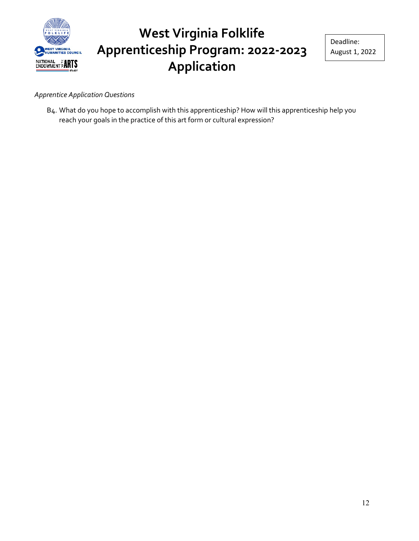

Deadline: August 1, 2022

#### *Apprentice Application Questions*

B4. What do you hope to accomplish with this apprenticeship? How will this apprenticeship help you reach your goals in the practice of this art form or cultural expression?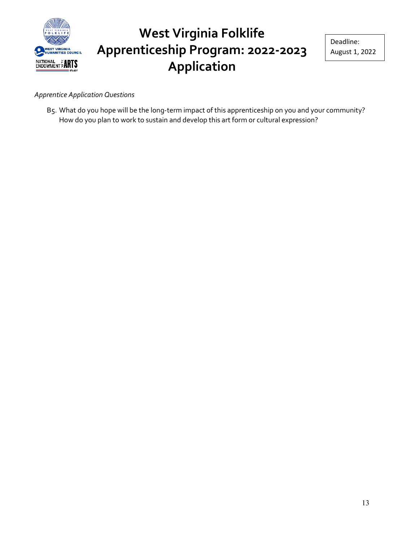

#### *Apprentice Application Questions*

B5. What do you hope will be the long-term impact of this apprenticeship on you and your community? How do you plan to work to sustain and develop this art form or cultural expression?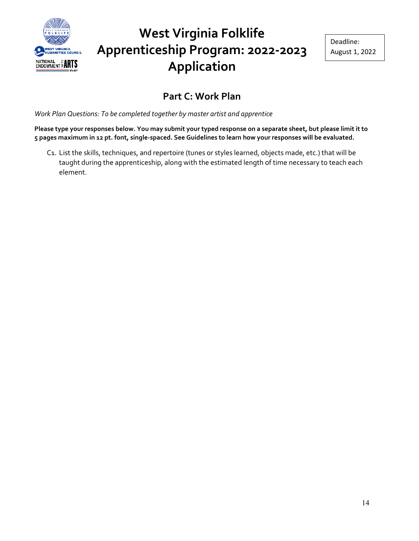

#### **Part C: Work Plan**

*Work Plan Questions: To be completed together by master artist and apprentice*

**Please type your responses below. You may submit your typed response on a separate sheet, but please limit it to 5 pages maximum in 12 pt. font, single-spaced. See Guidelines to learn how your responses will be evaluated.**

C1. List the skills, techniques, and repertoire (tunes or styles learned, objects made, etc.) that will be taught during the apprenticeship, along with the estimated length of time necessary to teach each element.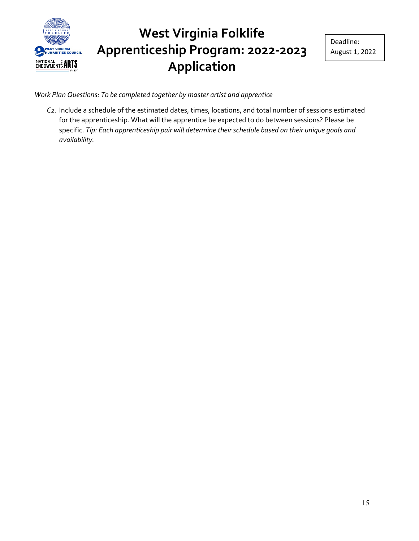

*Work Plan Questions: To be completed together by master artist and apprentice*

*C2.* Include a schedule of the estimated dates, times, locations, and total number of sessions estimated for the apprenticeship. What will the apprentice be expected to do between sessions? Please be specific. *Tip: Each apprenticeship pair will determine their schedule based on their unique goals and availability.*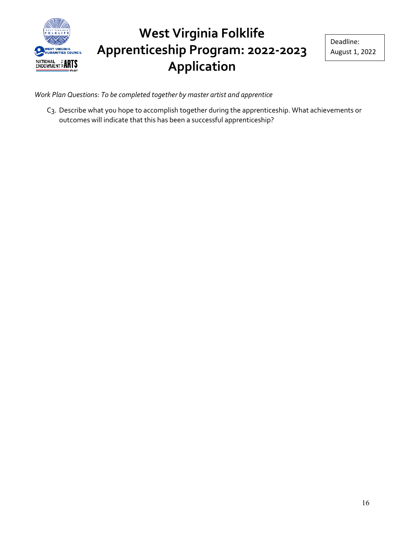

Deadline: August 1, 2022

*Work Plan Questions: To be completed together by master artist and apprentice*

C3. Describe what you hope to accomplish together during the apprenticeship. What achievements or outcomes will indicate that this has been a successful apprenticeship?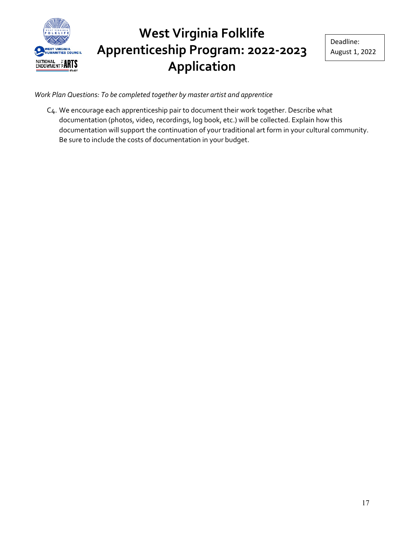

*Work Plan Questions: To be completed together by master artist and apprentice*

C4. We encourage each apprenticeship pair to document their work together. Describe what documentation (photos, video, recordings, log book, etc.) will be collected. Explain how this documentation will support the continuation of your traditional art form in your cultural community. Be sure to include the costs of documentation in your budget.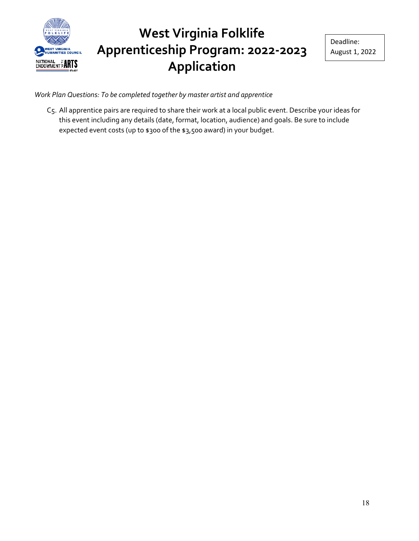

Deadline: August 1, 2022

*Work Plan Questions: To be completed together by master artist and apprentice*

C5. All apprentice pairs are required to share their work at a local public event. Describe your ideas for this event including any details (date, format, location, audience) and goals. Be sure to include expected event costs (up to \$300 of the \$3,500 award) in your budget.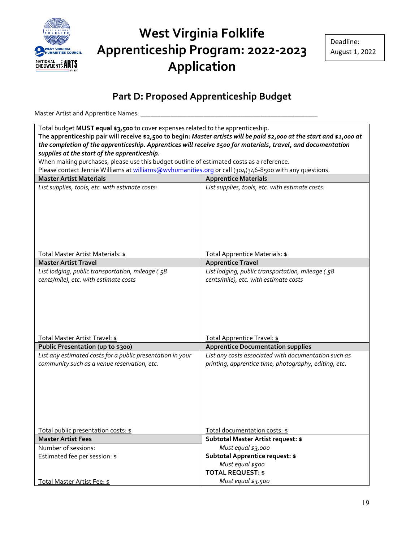

#### **Part D: Proposed Apprenticeship Budget**

Master Artist and Apprentice Names: \_

| Total budget MUST equal \$3,500 to cover expenses related to the apprenticeship.                                       |                                                                                    |
|------------------------------------------------------------------------------------------------------------------------|------------------------------------------------------------------------------------|
| The apprenticeship pair will receive \$2,500 to begin: Master artists will be paid \$2,000 at the start and \$1,000 at |                                                                                    |
| the completion of the apprenticeship. Apprentices will receive \$500 for materials, travel, and documentation          |                                                                                    |
| supplies at the start of the apprenticeship.                                                                           |                                                                                    |
| When making purchases, please use this budget outline of estimated costs as a reference.                               |                                                                                    |
| Please contact Jennie Williams at williams@wvhumanities.org or call (304)346-8500 with any questions.                  |                                                                                    |
| <b>Master Artist Materials</b>                                                                                         | <b>Apprentice Materials</b>                                                        |
| List supplies, tools, etc. with estimate costs:                                                                        | List supplies, tools, etc. with estimate costs:                                    |
|                                                                                                                        |                                                                                    |
|                                                                                                                        |                                                                                    |
|                                                                                                                        |                                                                                    |
|                                                                                                                        |                                                                                    |
|                                                                                                                        |                                                                                    |
|                                                                                                                        |                                                                                    |
| Total Master Artist Materials: \$                                                                                      | Total Apprentice Materials: \$                                                     |
| <b>Master Artist Travel</b>                                                                                            | <b>Apprentice Travel</b>                                                           |
| List lodging, public transportation, mileage (.58                                                                      | List lodging, public transportation, mileage (.58                                  |
| cents/mile), etc. with estimate costs                                                                                  | cents/mile), etc. with estimate costs                                              |
|                                                                                                                        |                                                                                    |
|                                                                                                                        |                                                                                    |
|                                                                                                                        |                                                                                    |
|                                                                                                                        |                                                                                    |
|                                                                                                                        |                                                                                    |
|                                                                                                                        |                                                                                    |
| Total Master Artist Travel: \$                                                                                         | Total Apprentice Travel: \$                                                        |
| Public Presentation (up to \$300)                                                                                      | <b>Apprentice Documentation supplies</b>                                           |
| List any estimated costs for a public presentation in your                                                             | List any costs associated with documentation such as                               |
| community such as a venue reservation, etc.                                                                            | printing, apprentice time, photography, editing, etc.                              |
|                                                                                                                        |                                                                                    |
|                                                                                                                        |                                                                                    |
|                                                                                                                        |                                                                                    |
|                                                                                                                        |                                                                                    |
|                                                                                                                        |                                                                                    |
|                                                                                                                        |                                                                                    |
|                                                                                                                        |                                                                                    |
| Total public presentation costs: \$<br><b>Master Artist Fees</b>                                                       | <u> Total documentation costs: \$</u><br><b>Subtotal Master Artist request: \$</b> |
| Number of sessions:                                                                                                    | Must equal \$3,000                                                                 |
| Estimated fee per session: \$                                                                                          | <b>Subtotal Apprentice request: \$</b>                                             |
|                                                                                                                        | Must equal \$500                                                                   |
|                                                                                                                        | <b>TOTAL REQUEST: \$</b>                                                           |
| Total Master Artist Fee: \$                                                                                            | Must equal \$3,500                                                                 |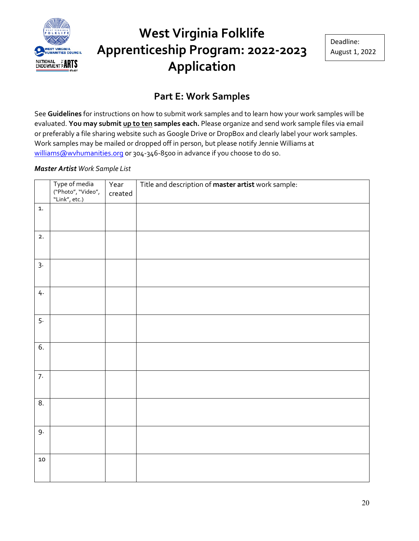

#### **Part E: Work Samples**

See **Guidelines** for instructions on how to submit work samples and to learn how your work samples will be evaluated. **You may submit up to ten samples each.** Please organize and send work sample files via email or preferably a file sharing website such as Google Drive or DropBox and clearly label your work samples. Work samples may be mailed or dropped off in person, but please notify Jennie Williams at [williams@wvhumanities.org](mailto:williams@wvhumanities.org) or 304-346-8500 in advance if you choose to do so.

#### *Master Artist Work Sample List*

|            | Type of media<br>("Photo", "Video",<br>"Link", etc.) | Year<br>created | Title and description of master artist work sample: |
|------------|------------------------------------------------------|-----------------|-----------------------------------------------------|
| 1.         |                                                      |                 |                                                     |
| 2.         |                                                      |                 |                                                     |
| 3.         |                                                      |                 |                                                     |
| 4.         |                                                      |                 |                                                     |
| 5.         |                                                      |                 |                                                     |
| 6.         |                                                      |                 |                                                     |
| 7.         |                                                      |                 |                                                     |
| 8.         |                                                      |                 |                                                     |
| 9.         |                                                      |                 |                                                     |
| ${\bf 10}$ |                                                      |                 |                                                     |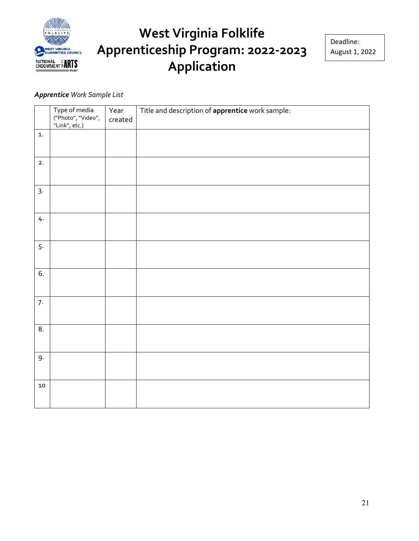

#### *Apprentice Work Sample List*

|            | Type of media<br>("Photo", "Video",<br>"Link", etc.) | Year<br>created | Title and description of apprentice work sample: |
|------------|------------------------------------------------------|-----------------|--------------------------------------------------|
| 1.         |                                                      |                 |                                                  |
| 2.         |                                                      |                 |                                                  |
| $3 -$      |                                                      |                 |                                                  |
| 4.         |                                                      |                 |                                                  |
| 5.         |                                                      |                 |                                                  |
| 6.         |                                                      |                 |                                                  |
| 7.         |                                                      |                 |                                                  |
| 8.         |                                                      |                 |                                                  |
| 9.         |                                                      |                 |                                                  |
| ${\bf 10}$ |                                                      |                 |                                                  |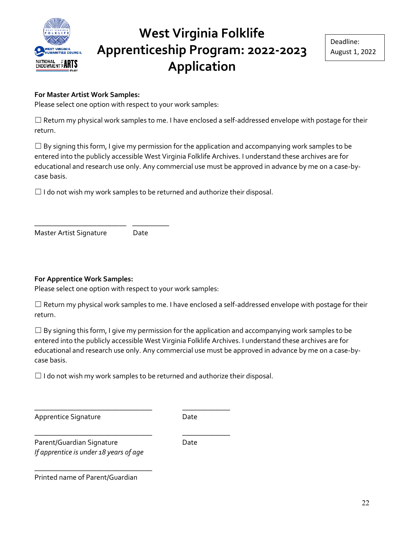

#### **For Master Artist Work Samples:**

Please select one option with respect to your work samples:

 $\Box$  Return my physical work samples to me. I have enclosed a self-addressed envelope with postage for their return.

 $\Box$  By signing this form, I give my permission for the application and accompanying work samples to be entered into the publicly accessible West Virginia Folklife Archives. I understand these archives are for educational and research use only. Any commercial use must be approved in advance by me on a case-bycase basis.

 $\Box$  I do not wish my work samples to be returned and authorize their disposal.

Master Artist Signature Date

\_\_\_\_\_\_\_\_\_\_\_\_\_\_\_\_\_\_\_\_\_\_\_\_\_ \_\_\_\_\_\_\_\_\_\_

#### **For Apprentice Work Samples:**

Please select one option with respect to your work samples:

☐ Return my physical work samples to me. I have enclosed a self-addressed envelope with postage for their return.

 $\Box$  By signing this form, I give my permission for the application and accompanying work samples to be entered into the publicly accessible West Virginia Folklife Archives. I understand these archives are for educational and research use only. Any commercial use must be approved in advance by me on a case-bycase basis.

 $\Box$  I do not wish my work samples to be returned and authorize their disposal.

\_\_\_\_\_\_\_\_\_\_\_\_\_\_\_\_\_\_\_\_\_\_\_\_\_\_\_\_\_\_\_\_ \_\_\_\_\_\_\_\_\_\_\_\_\_

\_\_\_\_\_\_\_\_\_\_\_\_\_\_\_\_\_\_\_\_\_\_\_\_\_\_\_\_\_\_\_\_ \_\_\_\_\_\_\_\_\_\_\_\_\_

Apprentice Signature Date

Parent/Guardian Signature Date *If apprentice is under 18 years of age*

\_\_\_\_\_\_\_\_\_\_\_\_\_\_\_\_\_\_\_\_\_\_\_\_\_\_\_\_\_\_\_\_

Printed name of Parent/Guardian